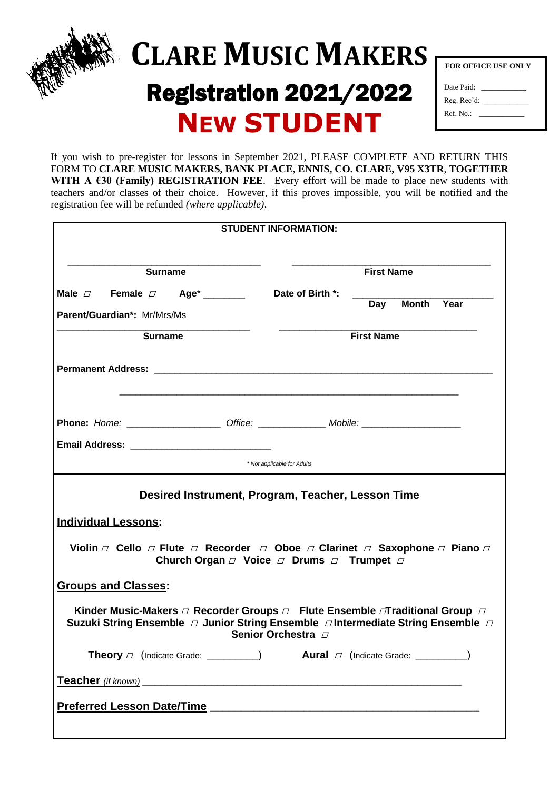

# **CLARE MUSIC MAKERS**

## Registration 2021/2022 **NEW STUDENT**

| FOR OFFICE USE ONLY |  |  |  |  |  |
|---------------------|--|--|--|--|--|
| Date Paid:          |  |  |  |  |  |
| Reg. Rec'd:         |  |  |  |  |  |
| $Ref$ No:           |  |  |  |  |  |
|                     |  |  |  |  |  |

If you wish to pre-register for lessons in September 2021, PLEASE COMPLETE AND RETURN THIS FORM TO **CLARE MUSIC MAKERS, BANK PLACE, ENNIS, CO. CLARE, V95 X3TR**, **TOGETHER**  WITH A €30 (Family) REGISTRATION FEE. Every effort will be made to place new students with teachers and/or classes of their choice. However, if this proves impossible, you will be notified and the registration fee will be refunded *(where applicable)*.

| <b>STUDENT INFORMATION:</b>                                                                                                                                                                                 |                                           |     |              |      |  |  |
|-------------------------------------------------------------------------------------------------------------------------------------------------------------------------------------------------------------|-------------------------------------------|-----|--------------|------|--|--|
| <b>Surname</b>                                                                                                                                                                                              |                                           |     |              |      |  |  |
|                                                                                                                                                                                                             | <b>First Name</b>                         |     |              |      |  |  |
| Male $\Box$ Female $\Box$ Age <sup>*</sup> _________ Date of Birth *:                                                                                                                                       |                                           |     | <b>Month</b> | Year |  |  |
| Parent/Guardian*: Mr/Mrs/Ms                                                                                                                                                                                 |                                           | Day |              |      |  |  |
| <b>Surname</b>                                                                                                                                                                                              | <b>First Name</b>                         |     |              |      |  |  |
|                                                                                                                                                                                                             |                                           |     |              |      |  |  |
|                                                                                                                                                                                                             |                                           |     |              |      |  |  |
| Phone: Home: ____________________ Office: ____________ Mobile: _________________                                                                                                                            |                                           |     |              |      |  |  |
|                                                                                                                                                                                                             |                                           |     |              |      |  |  |
|                                                                                                                                                                                                             | * Not applicable for Adults               |     |              |      |  |  |
| Desired Instrument, Program, Teacher, Lesson Time                                                                                                                                                           |                                           |     |              |      |  |  |
| <b>Individual Lessons:</b>                                                                                                                                                                                  |                                           |     |              |      |  |  |
| Violin $\Box$ Cello $\Box$ Flute $\Box$ Recorder $\Box$ Oboe $\Box$ Clarinet $\Box$ Saxophone $\Box$ Piano $\Box$<br>Church Organ $\Box$ Voice $\Box$ Drums $\Box$ Trumpet $\Box$                           |                                           |     |              |      |  |  |
| <b>Groups and Classes:</b>                                                                                                                                                                                  |                                           |     |              |      |  |  |
| Kinder Music-Makers $\varpi$ Recorder Groups $\varpi$ Flute Ensemble $\varpi$ Traditional Group $\varpi$<br>Suzuki String Ensemble $\Box$ Junior String Ensemble $\Box$ Intermediate String Ensemble $\Box$ | Senior Orchestra D                        |     |              |      |  |  |
| <b>Theory</b> $\Box$ (Indicate Grade: _________)                                                                                                                                                            | Aural $\Box$ (Indicate Grade: __________) |     |              |      |  |  |
|                                                                                                                                                                                                             |                                           |     |              |      |  |  |
| Preferred Lesson Date/Time Network and Contract the Preferred Lesson Date/Time                                                                                                                              |                                           |     |              |      |  |  |